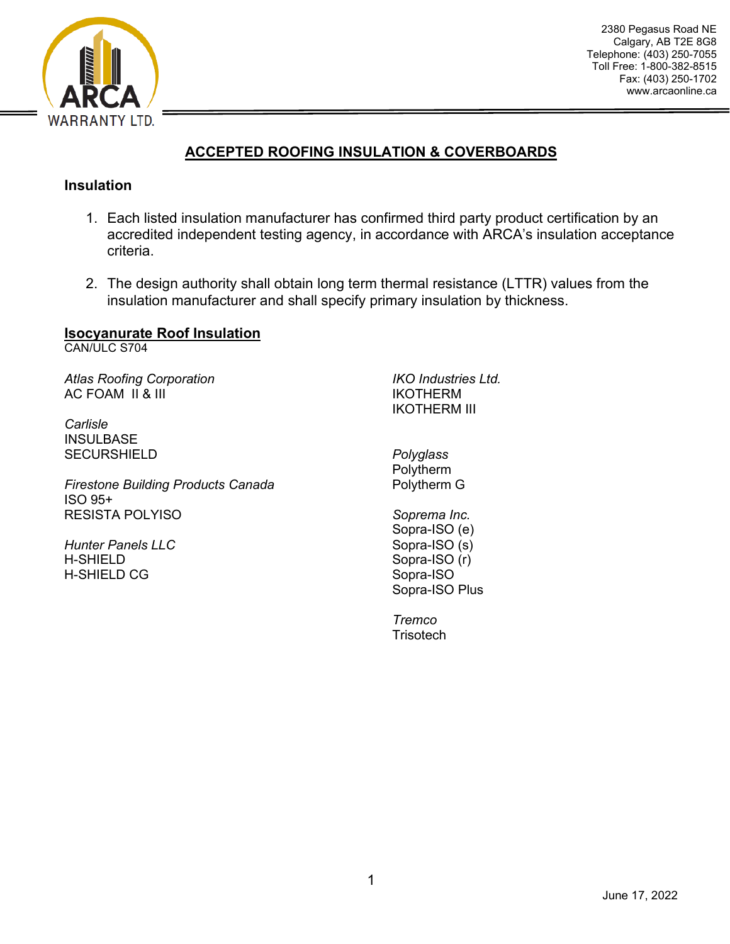

# **ACCEPTED ROOFING INSULATION & COVERBOARDS**

#### **Insulation**

- 1. Each listed insulation manufacturer has confirmed third party product certification by an accredited independent testing agency, in accordance with ARCA's insulation acceptance criteria.
- 2. The design authority shall obtain long term thermal resistance (LTTR) values from the insulation manufacturer and shall specify primary insulation by thickness.

# **Isocyanurate Roof Insulation**

CAN/ULC S704

*Atlas Roofing Corporation* AC FOAM II & III

*Carlisle* INSULBASE **SECURSHIELD** 

*Firestone Building Products Canada* ISO 95+ RESISTA POLYISO

*Hunter Panels LLC* H-SHIELD H-SHIELD CG

*IKO Industries Ltd.* IKOTHERM IKOTHERM III

*Polyglass* Polytherm Polytherm G

*Soprema Inc.* Sopra-ISO (e) Sopra-ISO (s) Sopra-ISO (r) Sopra-ISO Sopra-ISO Plus

*Tremco* **Trisotech**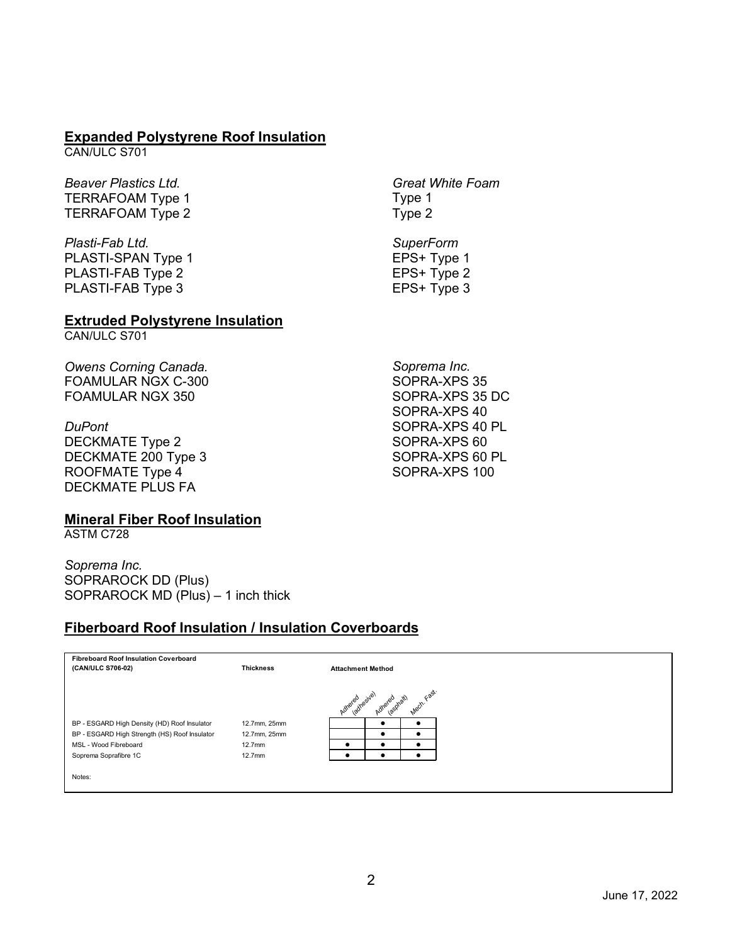#### **Expanded Polystyrene Roof Insulation**

CAN/ULC S701

*Beaver Plastics Ltd.* TERRAFOAM Type 1 TERRAFOAM Type 2

*Plasti-Fab Ltd.* PLASTI-SPAN Type 1 PLASTI-FAB Type 2 PLASTI-FAB Type 3

#### **Extruded Polystyrene Insulation**

CAN/ULC S701

*Owens Corning Canada.*  FOAMULAR NGX C-300 FOAMULAR NGX 350

*DuPont* DECKMATE Type 2 DECKMATE 200 Type 3 ROOFMATE Type 4 DECKMATE PLUS FA

#### **Mineral Fiber Roof Insulation**

ASTM C728

*Soprema Inc.* SOPRAROCK DD (Plus) SOPRAROCK MD (Plus) – 1 inch thick

### **Fiberboard Roof Insulation / Insulation Coverboards**

| <b>Fibreboard Roof Insulation Coverboard</b>  |                    |                       |                          |                                  |  |  |  |  |
|-----------------------------------------------|--------------------|-----------------------|--------------------------|----------------------------------|--|--|--|--|
| (CAN/ULC S706-02)                             | <b>Thickness</b>   |                       | <b>Attachment Method</b> |                                  |  |  |  |  |
|                                               |                    |                       |                          |                                  |  |  |  |  |
|                                               |                    | ladhesive)<br>Adhered | Adherec                  | Fast.<br>not.<br>$\mathcal{S}$ . |  |  |  |  |
|                                               |                    |                       |                          |                                  |  |  |  |  |
| BP - ESGARD High Density (HD) Roof Insulator  | 12.7mm, 25mm       |                       |                          |                                  |  |  |  |  |
| BP - ESGARD High Strength (HS) Roof Insulator | 12.7mm, 25mm       |                       |                          |                                  |  |  |  |  |
| MSL - Wood Fibreboard                         | 12.7 <sub>mm</sub> | ٠                     |                          |                                  |  |  |  |  |
| Soprema Soprafibre 1C                         | 12.7 <sub>mm</sub> |                       |                          |                                  |  |  |  |  |
|                                               |                    |                       |                          |                                  |  |  |  |  |
| Notes:                                        |                    |                       |                          |                                  |  |  |  |  |
|                                               |                    |                       |                          |                                  |  |  |  |  |

*Great White Foam* Type 1 Type 2

*SuperForm* EPS+ Type 1 EPS+ Type 2 EPS+ Type 3

*Soprema Inc.* SOPRA-XPS 35 SOPRA-XPS 35 DC SOPRA-XPS 40 SOPRA-XPS 40 PL SOPRA-XPS 60 SOPRA-XPS 60 PL SOPRA-XPS 100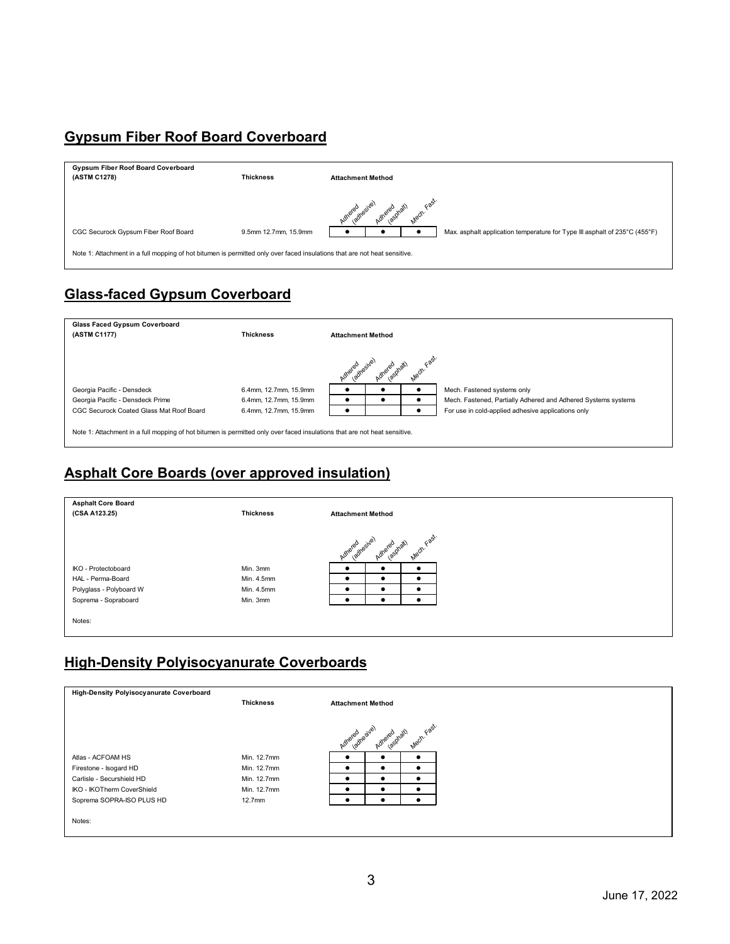# **Gypsum Fiber Roof Board Coverboard**

| Gypsum Fiber Roof Board Coverboard<br>(ASTM C1278)                                                                        | <b>Thickness</b>     | <b>Attachment Method</b>                                                   |  |  |  |  |  |  |
|---------------------------------------------------------------------------------------------------------------------------|----------------------|----------------------------------------------------------------------------|--|--|--|--|--|--|
|                                                                                                                           |                      | Adhered resive)<br>Adheret                                                 |  |  |  |  |  |  |
| CGC Securock Gypsum Fiber Roof Board                                                                                      | 9.5mm 12.7mm, 15.9mm | Max. asphalt application temperature for Type III asphalt of 235°C (455°F) |  |  |  |  |  |  |
| Note 1: Attachment in a full mopping of hot bitumen is permitted only over faced insulations that are not heat sensitive. |                      |                                                                            |  |  |  |  |  |  |

# **Glass-faced Gypsum Coverboard**



## **Asphalt Core Boards (over approved insulation)**



# **High-Density Polyisocyanurate Coverboards**

| High-Density Polyisocyanurate Coverboard |                    |                                          |                          |   |  |  |  |  |
|------------------------------------------|--------------------|------------------------------------------|--------------------------|---|--|--|--|--|
|                                          | <b>Thickness</b>   |                                          | <b>Attachment Method</b> |   |  |  |  |  |
|                                          |                    |                                          |                          |   |  |  |  |  |
|                                          |                    | Mech. Fast.<br>Adhered <sub>restve</sub> |                          |   |  |  |  |  |
|                                          |                    |                                          | lasphalt)<br>Adhereo     |   |  |  |  |  |
| Atlas - ACFOAM HS                        | Min. 12.7mm        | ٠                                        |                          |   |  |  |  |  |
| Firestone - Isogard HD                   | Min. 12.7mm        | $\bullet$                                |                          | ٠ |  |  |  |  |
| Carlisle - Securshield HD                | Min. 12.7mm        | $\bullet$                                |                          | ٠ |  |  |  |  |
| IKO - IKOTherm CoverShield               | Min. 12.7mm        | ٠                                        |                          |   |  |  |  |  |
| Soprema SOPRA-ISO PLUS HD                | 12.7 <sub>mm</sub> | ٠                                        |                          |   |  |  |  |  |
|                                          |                    |                                          |                          |   |  |  |  |  |
| Notes:                                   |                    |                                          |                          |   |  |  |  |  |
|                                          |                    |                                          |                          |   |  |  |  |  |